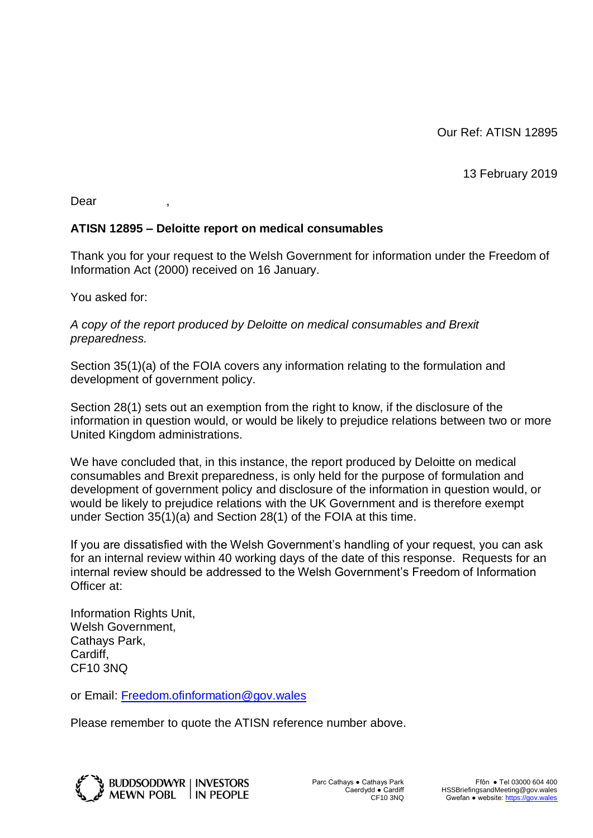13 February 2019

Dear ,

## **ATISN 12895 – Deloitte report on medical consumables**

Thank you for your request to the Welsh Government for information under the Freedom of Information Act (2000) received on 16 January.

You asked for:

*A copy of the report produced by Deloitte on medical consumables and Brexit preparedness.* 

Section 35(1)(a) of the FOIA covers any information relating to the formulation and development of government policy.

Section 28(1) sets out an exemption from the right to know, if the disclosure of the information in question would, or would be likely to prejudice relations between two or more United Kingdom administrations.

We have concluded that, in this instance, the report produced by Deloitte on medical consumables and Brexit preparedness, is only held for the purpose of formulation and development of government policy and disclosure of the information in question would, or would be likely to prejudice relations with the UK Government and is therefore exempt under Section 35(1)(a) and Section 28(1) of the FOIA at this time.

If you are dissatisfied with the Welsh Government's handling of your request, you can ask for an internal review within 40 working days of the date of this response. Requests for an internal review should be addressed to the Welsh Government's Freedom of Information Officer at:

Information Rights Unit, Welsh Government, Cathays Park, Cardiff, CF10 3NQ

or Email: [Freedom.ofinformation@gov.wales](mailto:Freedom.ofinformation@gov.wales)

Please remember to quote the ATISN reference number above.